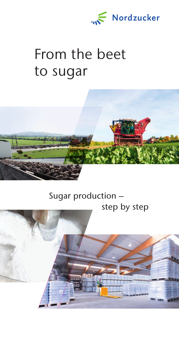

# From the beet to sugar



## Sugar production – step by step

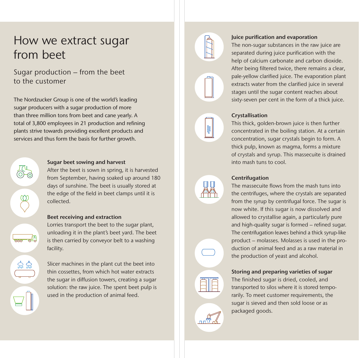## How we extract sugar from beet

### Sugar production – from the beet to the customer

The Nordzucker Group is one of the world's leading sugar producers with a sugar production of more than three million tons from beet and cane yearly. A total of 3,800 employees in 21 production and refining plants strive towards providing excellent products and services and thus form the basis for further growth.



#### Sugar beet sowing and harvest

After the beet is sown in spring, it is harvested from September, having soaked up around 180 days of sunshine. The beet is usually stored at the edge of the field in beet clamps until it is collected.

#### Beet receiving and extraction

Lorries transport the beet to the sugar plant, unloading it in the plant's beet yard. The beet is then carried by conveyor belt to a washing facility.

Slicer machines in the plant cut the beet into thin cossettes, from which hot water extracts the sugar in diffusion towers, creating a sugar solution: the raw juice. The spent beet pulp is used in the production of animal feed.



#### Juice purification and evaporation

The non-sugar substances in the raw juice are separated during juice purification with the help of calcium carbonate and carbon dioxide. After being filtered twice, there remains a clear, pale-yellow clarified juice. The evaporation plant extracts water from the clarified juice in several stages until the sugar content reaches about sixty-seven per cent in the form of a thick juice.

## Crystallisation

This thick, golden-brown juice is then further concentrated in the boiling station. At a certain concentration, sugar crystals begin to form. A thick pulp, known as magma, forms a mixture of crystals and syrup. This massecuite is drained into mash tuns to cool.



#### Centrifugation

The massecuite flows from the mash tuns into the centrifuges, where the crystals are separated from the syrup by centrifugal force. The sugar is now white. If this sugar is now dissolved and allowed to crystallise again, a particularly pure and high-quality sugar is formed – refined sugar. The centrifugation leaves behind a thick syrup-like product – molasses. Molasses is used in the production of animal feed and as a raw material in the production of yeast and alcohol.

#### Storing and preparing varieties of sugar

The finished sugar is dried, cooled, and transported to silos where it is stored temporarily. To meet customer requirements, the sugar is sieved and then sold loose or as packaged goods.

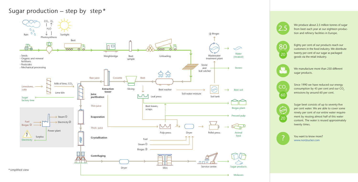We produce about 2.5 million tonnes of sugar from beet each year at our eighteen production and refinery facilities in Europe.

Eighty per cent of our products reach our customers in the food industry. We distribute twenty per cent of our sugar as packaged goods via the retail industry.



CO.

 $60$ 

We manufacture more than 250 different sugar products.

Since 1990 we have reduced our energy consumption by 45 per cent and our  $CO<sub>2</sub>$ emissions by around 60 per cent.

Sugar beet consists of up to seventy-five per cent water. We are able to cover some ninety per cent of our entire water requirement by reusing almost half of this water content. The water is reused approximately twenty times.

You want to know more? www.nordzucker.com









# Sugar production – step by step  $*$



Molasses